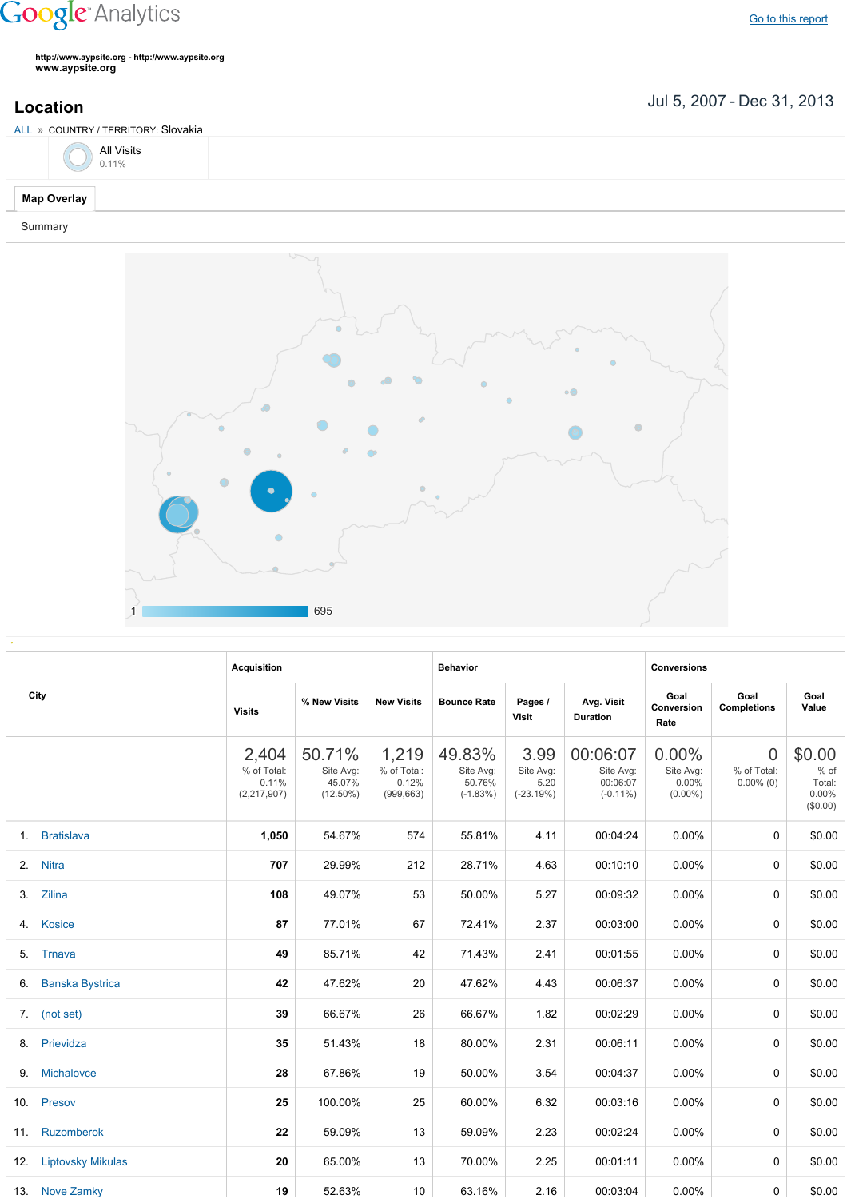## **Google** Analytics

Go to this [report](https://www.google.com/analytics/web/?utm_source=pdfReportLink#report/visitors-geo/a2184169w3912412p4016214/%3F_u.date00%3D20070705%26_u.date01%3D20131231%26geo-table.plotKeys%3D%5B%5D%26geo-table.rowStart%3D0%26geo-table.rowCount%3D1000%26_r.drilldown%3Danalytics.country%3ASK/)

**http://www.aypsite.org http://www.aypsite.org www.aypsite.org**

**Location** Jul 5, 2007 - Dec 31, 2013

| ALL » COUNTRY / TERRITORY: Slovakia |  |  |
|-------------------------------------|--|--|
| $\bigodot$ All Visits               |  |  |
| Map Overlay                         |  |  |

## Summary



| City | <b>Acquisition</b>     |                                              |                                              | <b>Behavior</b>                             |                                             |                                          | <b>Conversions</b>                               |                                              |                                               |                                                 |
|------|------------------------|----------------------------------------------|----------------------------------------------|---------------------------------------------|---------------------------------------------|------------------------------------------|--------------------------------------------------|----------------------------------------------|-----------------------------------------------|-------------------------------------------------|
|      |                        | <b>Visits</b>                                | % New Visits                                 | <b>New Visits</b>                           | <b>Bounce Rate</b>                          | Pages /<br>Visit                         | Avg. Visit<br><b>Duration</b>                    | Goal<br>Conversion<br>Rate                   | Goal<br><b>Completions</b>                    | Goal<br>Value                                   |
|      |                        | 2,404<br>% of Total:<br>0.11%<br>(2,217,907) | 50.71%<br>Site Avg:<br>45.07%<br>$(12.50\%)$ | 1,219<br>% of Total:<br>0.12%<br>(999, 663) | 49.83%<br>Site Avg:<br>50.76%<br>$(-1.83%)$ | 3.99<br>Site Avg:<br>5.20<br>$(-23.19%)$ | 00:06:07<br>Site Avg:<br>00:06:07<br>$(-0.11\%)$ | 0.00%<br>Site Avg:<br>$0.00\%$<br>$(0.00\%)$ | $\overline{0}$<br>% of Total:<br>$0.00\%$ (0) | \$0.00<br>$%$ of<br>Total:<br>0.00%<br>(\$0.00) |
|      | 1. Bratislava          | 1,050                                        | 54.67%                                       | 574                                         | 55.81%                                      | 4.11                                     | 00:04:24                                         | 0.00%                                        | 0                                             | \$0.00                                          |
|      | 2. Nitra               | 707                                          | 29.99%                                       | 212                                         | 28.71%                                      | 4.63                                     | 00:10:10                                         | 0.00%                                        | $\Omega$                                      | \$0.00                                          |
| 3.   | Zilina                 | 108                                          | 49.07%                                       | 53                                          | 50.00%                                      | 5.27                                     | 00:09:32                                         | 0.00%                                        | $\Omega$                                      | \$0.00                                          |
|      | 4. Kosice              | 87                                           | 77.01%                                       | 67                                          | 72.41%                                      | 2.37                                     | 00:03:00                                         | 0.00%                                        | 0                                             | \$0.00                                          |
| 5.   | Trnava                 | 49                                           | 85.71%                                       | 42                                          | 71.43%                                      | 2.41                                     | 00:01:55                                         | 0.00%                                        | 0                                             | \$0.00                                          |
| 6.   | <b>Banska Bystrica</b> | 42                                           | 47.62%                                       | 20                                          | 47.62%                                      | 4.43                                     | 00:06:37                                         | 0.00%                                        | $\Omega$                                      | \$0.00                                          |
|      | 7. (not set)           | 39                                           | 66.67%                                       | 26                                          | 66.67%                                      | 1.82                                     | 00:02:29                                         | 0.00%                                        | $\Omega$                                      | \$0.00                                          |
|      | 8. Prievidza           | 35                                           | 51.43%                                       | 18                                          | 80.00%                                      | 2.31                                     | 00:06:11                                         | 0.00%                                        | $\Omega$                                      | \$0.00                                          |
| 9.   | Michalovce             | 28                                           | 67.86%                                       | 19                                          | 50.00%                                      | 3.54                                     | 00:04:37                                         | 0.00%                                        | $\Omega$                                      | \$0.00                                          |
|      | 10. Presov             | 25                                           | 100.00%                                      | 25                                          | 60.00%                                      | 6.32                                     | 00:03:16                                         | $0.00\%$                                     | 0                                             | \$0.00                                          |
|      | 11. Ruzomberok         | 22                                           | 59.09%                                       | 13                                          | 59.09%                                      | 2.23                                     | 00:02:24                                         | 0.00%                                        | 0                                             | \$0.00                                          |
|      | 12. Liptovsky Mikulas  | 20                                           | 65.00%                                       | 13                                          | 70.00%                                      | 2.25                                     | 00:01:11                                         | $0.00\%$                                     | $\Omega$                                      | \$0.00                                          |
|      | 13. Nove Zamky         | 19                                           | 52.63%                                       | 10                                          | 63.16%                                      | 2.16                                     | 00:03:04                                         | $0.00\%$                                     | 0                                             | \$0.00                                          |